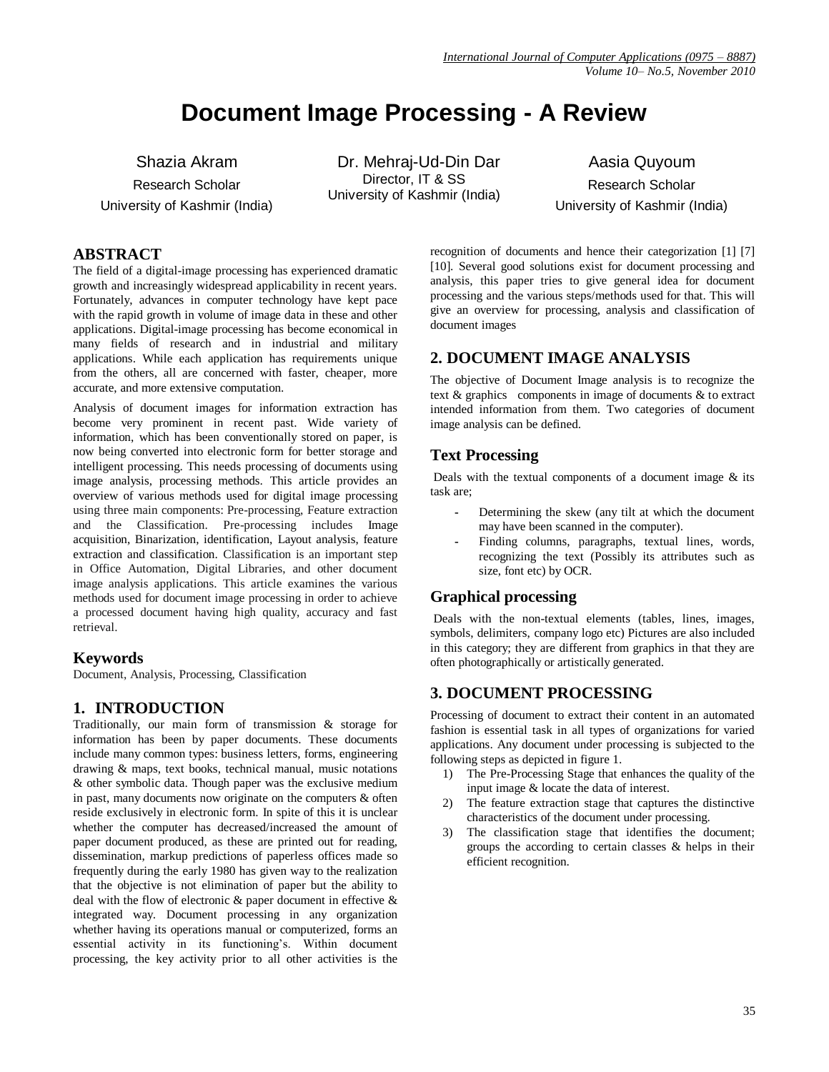# **Document Image Processing - A Review**

Shazia Akram Research Scholar University of Kashmir (India)

Dr. Mehraj-Ud-Din Dar Director, IT & SS University of Kashmir (India)

Aasia Quyoum Research Scholar University of Kashmir (India)

# **ABSTRACT**

The field of a digital-image processing has experienced dramatic growth and increasingly widespread applicability in recent years. Fortunately, advances in computer technology have kept pace with the rapid growth in volume of image data in these and other applications. Digital-image processing has become economical in many fields of research and in industrial and military applications. While each application has requirements unique from the others, all are concerned with faster, cheaper, more accurate, and more extensive computation.

Analysis of document images for information extraction has become very prominent in recent past. Wide variety of information, which has been conventionally stored on paper, is now being converted into electronic form for better storage and intelligent processing. This needs processing of documents using image analysis, processing methods. This article provides an overview of various methods used for digital image processing using three main components: Pre-processing, Feature extraction and the Classification. Pre-processing includes Image acquisition, Binarization, identification, Layout analysis, feature extraction and classification. Classification is an important step in Office Automation, Digital Libraries, and other document image analysis applications. This article examines the various methods used for document image processing in order to achieve a processed document having high quality, accuracy and fast retrieval.

# **Keywords**

Document, Analysis, Processing, Classification

# **1. INTRODUCTION**

Traditionally, our main form of transmission & storage for information has been by paper documents. These documents include many common types: business letters, forms, engineering drawing & maps, text books, technical manual, music notations & other symbolic data. Though paper was the exclusive medium in past, many documents now originate on the computers & often reside exclusively in electronic form. In spite of this it is unclear whether the computer has decreased/increased the amount of paper document produced, as these are printed out for reading, dissemination, markup predictions of paperless offices made so frequently during the early 1980 has given way to the realization that the objective is not elimination of paper but the ability to deal with the flow of electronic & paper document in effective & integrated way. Document processing in any organization whether having its operations manual or computerized, forms an essential activity in its functioning's. Within document processing, the key activity prior to all other activities is the

recognition of documents and hence their categorization [1] [7] [10]. Several good solutions exist for document processing and analysis, this paper tries to give general idea for document processing and the various steps/methods used for that. This will give an overview for processing, analysis and classification of document images

# **2. DOCUMENT IMAGE ANALYSIS**

The objective of Document Image analysis is to recognize the text  $\&$  graphics components in image of documents  $\&$  to extract intended information from them. Two categories of document image analysis can be defined.

# **Text Processing**

Deals with the textual components of a document image  $\&$  its task are;

- **-** Determining the skew (any tilt at which the document may have been scanned in the computer).
- Finding columns, paragraphs, textual lines, words, recognizing the text (Possibly its attributes such as size, font etc) by OCR.

# **Graphical processing**

Deals with the non-textual elements (tables, lines, images, symbols, delimiters, company logo etc) Pictures are also included in this category; they are different from graphics in that they are often photographically or artistically generated.

# **3. DOCUMENT PROCESSING**

Processing of document to extract their content in an automated fashion is essential task in all types of organizations for varied applications. Any document under processing is subjected to the following steps as depicted in figure 1.

- 1) The Pre-Processing Stage that enhances the quality of the input image & locate the data of interest.
- 2) The feature extraction stage that captures the distinctive characteristics of the document under processing.
- 3) The classification stage that identifies the document; groups the according to certain classes & helps in their efficient recognition.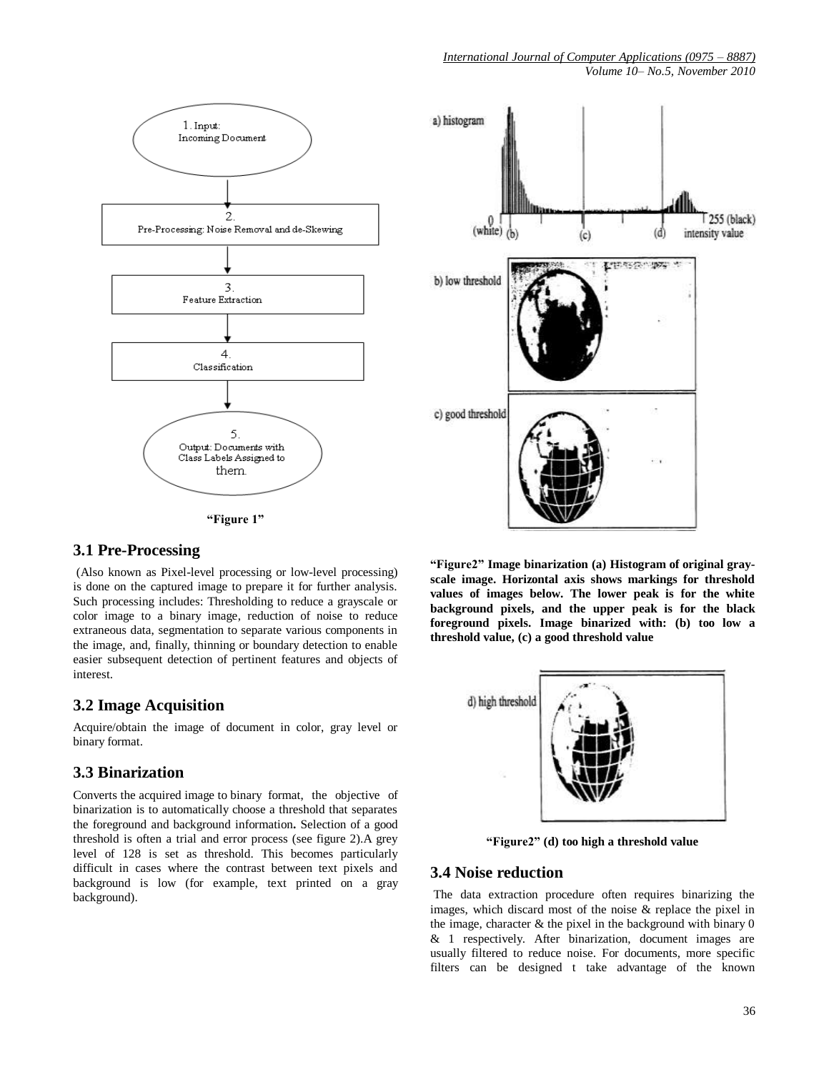



# **3.1 Pre-Processing**

(Also known as Pixel-level processing or low-level processing) is done on the captured image to prepare it for further analysis. Such processing includes: Thresholding to reduce a grayscale or color image to a binary image, reduction of noise to reduce extraneous data, segmentation to separate various components in the image, and, finally, thinning or boundary detection to enable easier subsequent detection of pertinent features and objects of interest.

# **3.2 Image Acquisition**

Acquire/obtain the image of document in color, gray level or binary format.

# **3.3 Binarization**

Converts the acquired image to binary format, the objective of binarization is to automatically choose a threshold that separates the foreground and background information**.** Selection of a good threshold is often a trial and error process (see figure 2).A grey level of 128 is set as threshold. This becomes particularly difficult in cases where the contrast between text pixels and background is low (for example, text printed on a gray background).



**"Figure2" Image binarization (a) Histogram of original grayscale image. Horizontal axis shows markings for threshold values of images below. The lower peak is for the white background pixels, and the upper peak is for the black foreground pixels. Image binarized with: (b) too low a threshold value, (c) a good threshold value**



**"Figure2" (d) too high a threshold value**

### **3.4 Noise reduction**

The data extraction procedure often requires binarizing the images, which discard most of the noise & replace the pixel in the image, character & the pixel in the background with binary 0 & 1 respectively. After binarization, document images are usually filtered to reduce noise. For documents, more specific filters can be designed t take advantage of the known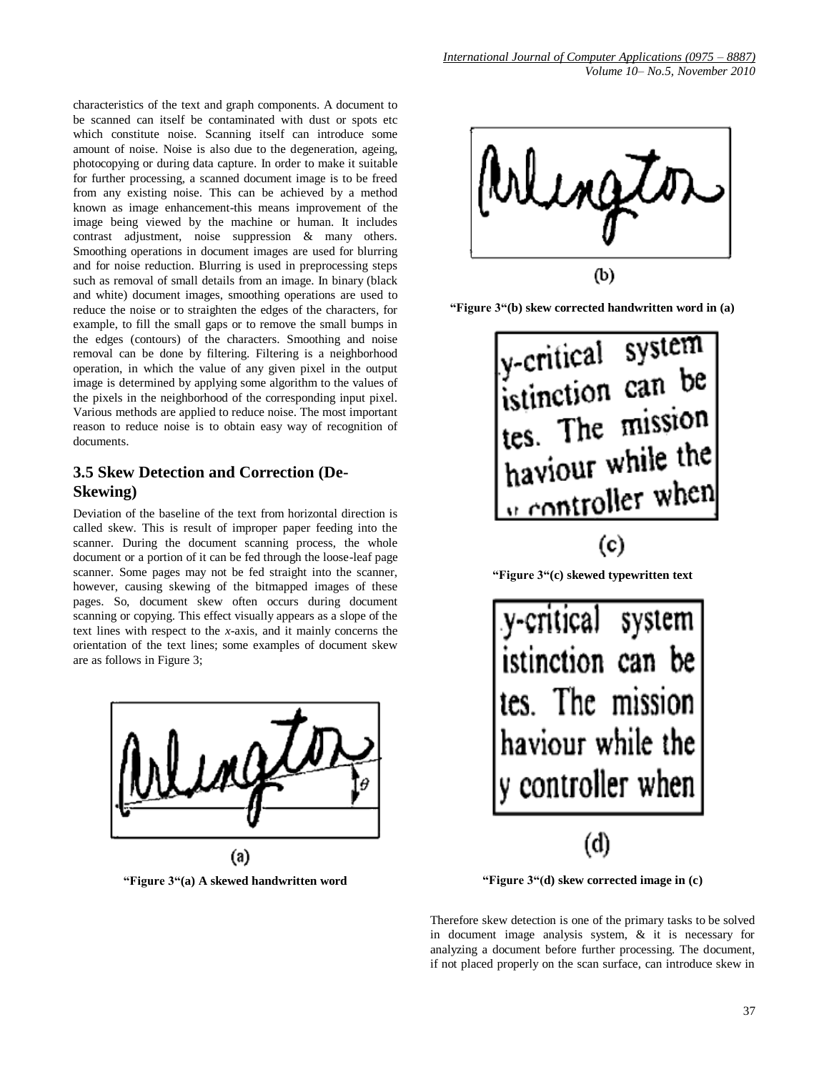characteristics of the text and graph components. A document to be scanned can itself be contaminated with dust or spots etc which constitute noise. Scanning itself can introduce some amount of noise. Noise is also due to the degeneration, ageing, photocopying or during data capture. In order to make it suitable for further processing, a scanned document image is to be freed from any existing noise. This can be achieved by a method known as image enhancement-this means improvement of the image being viewed by the machine or human. It includes contrast adjustment, noise suppression & many others. Smoothing operations in document images are used for blurring and for noise reduction. Blurring is used in preprocessing steps such as removal of small details from an image. In binary (black and white) document images, smoothing operations are used to reduce the noise or to straighten the edges of the characters, for example, to fill the small gaps or to remove the small bumps in the edges (contours) of the characters. Smoothing and noise removal can be done by filtering. Filtering is a neighborhood operation, in which the value of any given pixel in the output image is determined by applying some algorithm to the values of the pixels in the neighborhood of the corresponding input pixel. Various methods are applied to reduce noise. The most important reason to reduce noise is to obtain easy way of recognition of documents.

# **3.5 Skew Detection and Correction (De-Skewing)**

Deviation of the baseline of the text from horizontal direction is called skew. This is result of improper paper feeding into the scanner. During the document scanning process, the whole document or a portion of it can be fed through the loose-leaf page scanner. Some pages may not be fed straight into the scanner, however, causing skewing of the bitmapped images of these pages. So, document skew often occurs during document scanning or copying. This effect visually appears as a slope of the text lines with respect to the *x*-axis, and it mainly concerns the orientation of the text lines; some examples of document skew are as follows in Figure 3;



**"Figure 3"(a) A skewed handwritten word**



**"Figure 3"(b) skew corrected handwritten word in (a)**



**"Figure 3"(d) skew corrected image in (c)**

(d)

tes. The mission

haviour while the

controller when

Therefore skew detection is one of the primary tasks to be solved in document image analysis system, & it is necessary for analyzing a document before further processing. The document, if not placed properly on the scan surface, can introduce skew in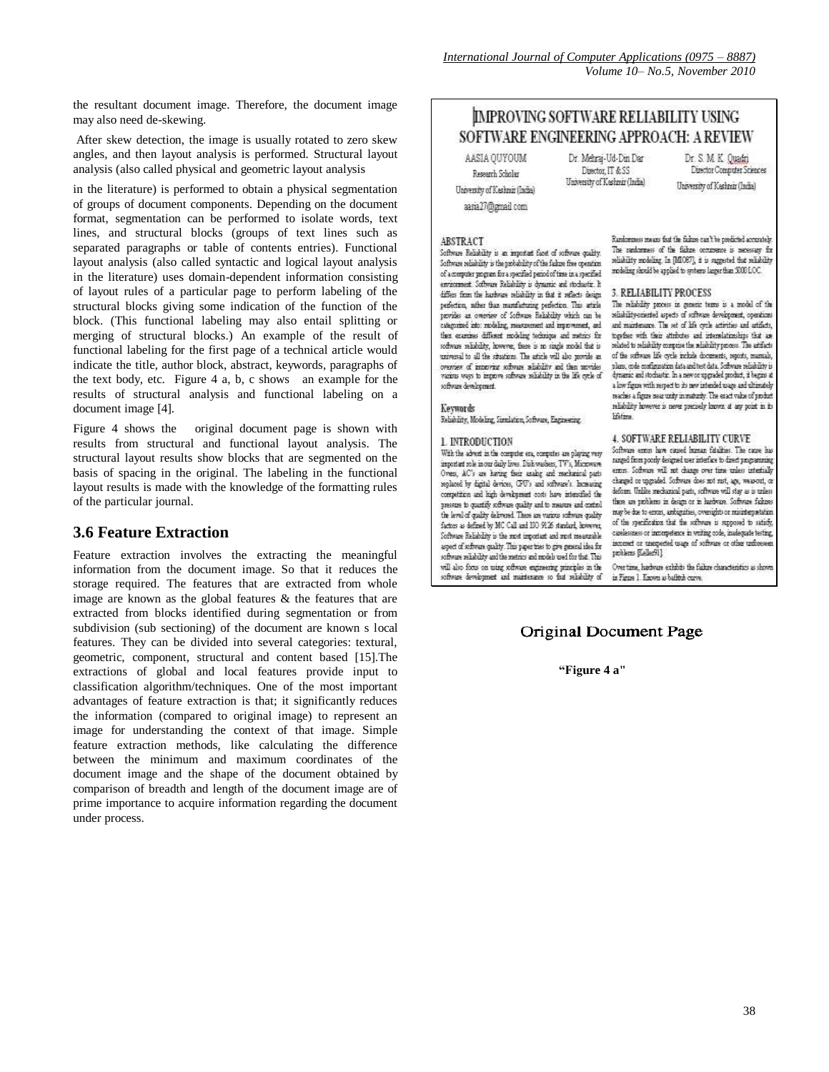the resultant document image. Therefore, the document image may also need de-skewing.

After skew detection, the image is usually rotated to zero skew angles, and then layout analysis is performed. Structural layout analysis (also called physical and geometric layout analysis

in the literature) is performed to obtain a physical segmentation of groups of document components. Depending on the document format, segmentation can be performed to isolate words, text lines, and structural blocks (groups of text lines such as separated paragraphs or table of contents entries). Functional layout analysis (also called syntactic and logical layout analysis in the literature) uses domain-dependent information consisting of layout rules of a particular page to perform labeling of the structural blocks giving some indication of the function of the block. (This functional labeling may also entail splitting or merging of structural blocks.) An example of the result of functional labeling for the first page of a technical article would indicate the title, author block, abstract, keywords, paragraphs of the text body, etc. Figure 4 a, b, c shows an example for the results of structural analysis and functional labeling on a document image [4].

Figure 4 shows the original document page is shown with results from structural and functional layout analysis. The structural layout results show blocks that are segmented on the basis of spacing in the original. The labeling in the functional layout results is made with the knowledge of the formatting rules of the particular journal.

### **3.6 Feature Extraction**

Feature extraction involves the extracting the meaningful information from the document image. So that it reduces the storage required. The features that are extracted from whole image are known as the global features & the features that are extracted from blocks identified during segmentation or from subdivision (sub sectioning) of the document are known s local features. They can be divided into several categories: textural, geometric, component, structural and content based [15].The extractions of global and local features provide input to classification algorithm/techniques. One of the most important advantages of feature extraction is that; it significantly reduces the information (compared to original image) to represent an image for understanding the context of that image. Simple feature extraction methods, like calculating the difference between the minimum and maximum coordinates of the document image and the shape of the document obtained by comparison of breadth and length of the document image are of prime importance to acquire information regarding the document under process.

# **IMPROVING SOFTWARE RELIABILITY USING** SOFTWARE ENGINEERING APPROACH: A REVIEW

AASIA OUYOUM Research Scholar University of Kashnir (India)

aasia27@gmail.com

Dr. Mehrai-Ud-Din Dar Director, IT & SS University of Kashmir (India)

Dr. S. M. K. Ouadri Director Computer Sciences University of Kashnin (India)

#### **ARSTRACT**

Software Reliability is an innoctant facet of software quality. Software reliability is the probability of the failure free operation of a memputer program for a specified period of time in a specified approvement. Software Reliability is dynamic and stockastic. It differs from the hardware reliability in that it reflects design. perfection, rather than manufacturing perfection. This article provides an overview of Software Reliability which can be categorized into: modeling, measurement and improvement, and thex examines different modeling technique and metrics for software reliability, however, there is no single model that is usiversal to all the situations. The article will also provide an overnes of innoving software seliability and then movides<br>various ways to improve software reliability in the life cycle of software development.

### Keywords

Reliability, Modeling, Streaktion, Software, Engineering,

#### 1. INTRODUCTION

With the advent in the computer era, computes are playing very important sole in our daily lives. Dish washers, TV's, Microwave Overs, AC's are having their analog and mechanical parts replaced by digital devices, CPU's and suffrage's. Increasing competition and high development costs have intensified the presure to quartify software quality and to measure and control the level of quality delivered. These are various sufferere quality factors as defined by MC Call and 130 9126 standard, however, Software Reliability is the rend important and rend measurable aged of software quality. This paper tries to give general idea for suffware reliability and the metrics and models used for that. This will also focus on using software engineering principles in the software development and maintenance so that reliability of Randomness means that the failure can't be predicted accurately The sankorness of the falure occurrence is necessary for selishility modeling. In [MIOS7], it is suggested that selishility modeling should be applied to systems larger than 5000 LOC.

#### 3. RELIABILITY PROCESS

The reliability process in generic terms is a model of the reliability-oriented aspects of suftware development, operations and maintenance. The set of life cycle activities and artifacts, together with their attributes and internelationships that are related to reliability comprise the reliability process. The artifacts of the software life cycle include documents, reports, mantals, plans, code configuration data and test data. Software reliability is dynamic and stochastic. In a new or upgraded product, it begins a a low figure with respect to its new intended usage and ultimately reaches a figure near unity in maturity. The exact value of product reliability however is never precisely known at any point in its lifetime

#### 4. SOFTWARE RELIABILITY CURVE

Software entoys have caused human fatalities. The cause has ranged from poorly designed user interface to direct programming enon. Software will not change over time unless interhalis charged or upgraded. Software does not met, age, wear-out, or deform. Unlike mechanical parts, software will stay as is unless there are problems in design or in hardware. Software failures may be due to errors, ambiguities, oversights or mixinterpretation of the specification that the software is supposed to satisfy, caselermers or intempelence in writing code, inadequate testing, ismmed or unemeded usage of software or other unforces problems [Keller91].

Over time, hadware exhibits the failure characteristics as shown is Figure 1 Known as baffitch curve.

### Original Document Page

#### **"Figure 4 a"**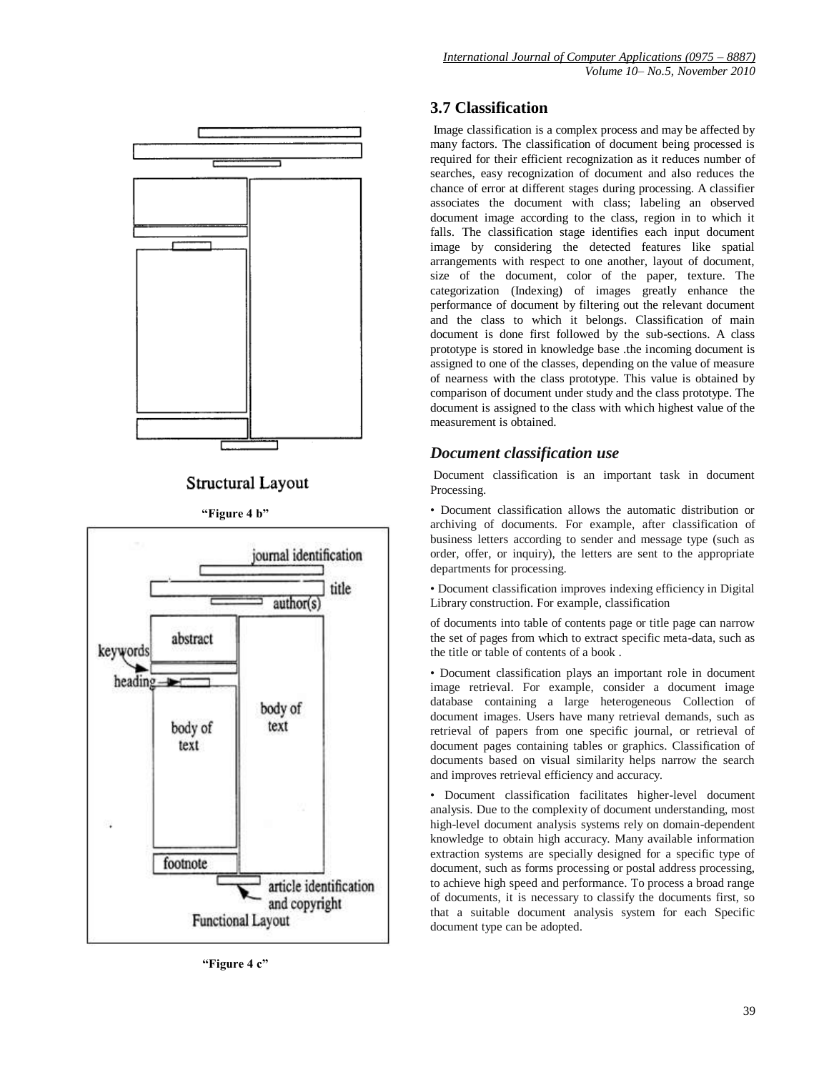

# Structural Layout

**"Figure 4 b"**



**"Figure 4 c"**

# **3.7 Classification**

Image classification is a complex process and may be affected by many factors. The classification of document being processed is required for their efficient recognization as it reduces number of searches, easy recognization of document and also reduces the chance of error at different stages during processing. A classifier associates the document with class; labeling an observed document image according to the class, region in to which it falls. The classification stage identifies each input document image by considering the detected features like spatial arrangements with respect to one another, layout of document, size of the document, color of the paper, texture. The categorization (Indexing) of images greatly enhance the performance of document by filtering out the relevant document and the class to which it belongs. Classification of main document is done first followed by the sub-sections. A class prototype is stored in knowledge base .the incoming document is assigned to one of the classes, depending on the value of measure of nearness with the class prototype. This value is obtained by comparison of document under study and the class prototype. The document is assigned to the class with which highest value of the measurement is obtained.

# *Document classification use*

Document classification is an important task in document Processing.

• Document classification allows the automatic distribution or archiving of documents. For example, after classification of business letters according to sender and message type (such as order, offer, or inquiry), the letters are sent to the appropriate departments for processing.

• Document classification improves indexing efficiency in Digital Library construction. For example, classification

of documents into table of contents page or title page can narrow the set of pages from which to extract specific meta-data, such as the title or table of contents of a book .

• Document classification plays an important role in document image retrieval. For example, consider a document image database containing a large heterogeneous Collection of document images. Users have many retrieval demands, such as retrieval of papers from one specific journal, or retrieval of document pages containing tables or graphics. Classification of documents based on visual similarity helps narrow the search and improves retrieval efficiency and accuracy.

• Document classification facilitates higher-level document analysis. Due to the complexity of document understanding, most high-level document analysis systems rely on domain-dependent knowledge to obtain high accuracy. Many available information extraction systems are specially designed for a specific type of document, such as forms processing or postal address processing, to achieve high speed and performance. To process a broad range of documents, it is necessary to classify the documents first, so that a suitable document analysis system for each Specific document type can be adopted.